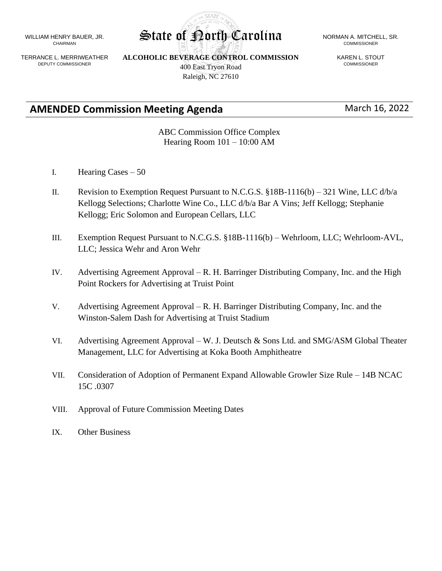WILLIAM HENRY BAUER, JR. CHAIRMAN

TERRANCE L. MERRIWEATHER DEPUTY COMMISSIONER

**ALCOHOLIC BEVERAGE CONTROL COMMISSION** 400 East Tryon Road Raleigh, NC 27610

# COMMISSIONER

KAREN L. STOUT COMMISSIONER

## **AMENDED Commission Meeting Agenda** March 16, 2022

ABC Commission Office Complex Hearing Room 101 – 10:00 AM

- I. Hearing Cases 50
- II. Revision to Exemption Request Pursuant to N.C.G.S.  $§18B-1116(b) 321$  Wine, LLC d/b/a Kellogg Selections; Charlotte Wine Co., LLC d/b/a Bar A Vins; Jeff Kellogg; Stephanie Kellogg; Eric Solomon and European Cellars, LLC
- III. Exemption Request Pursuant to N.C.G.S. §18B-1116(b) Wehrloom, LLC; Wehrloom-AVL, LLC; Jessica Wehr and Aron Wehr
- IV. Advertising Agreement Approval R. H. Barringer Distributing Company, Inc. and the High Point Rockers for Advertising at Truist Point
- V. Advertising Agreement Approval R. H. Barringer Distributing Company, Inc. and the Winston-Salem Dash for Advertising at Truist Stadium
- VI. Advertising Agreement Approval W. J. Deutsch & Sons Ltd. and SMG/ASM Global Theater Management, LLC for Advertising at Koka Booth Amphitheatre
- VII. Consideration of Adoption of Permanent Expand Allowable Growler Size Rule 14B NCAC 15C .0307
- VIII. Approval of Future Commission Meeting Dates
- IX. Other Business

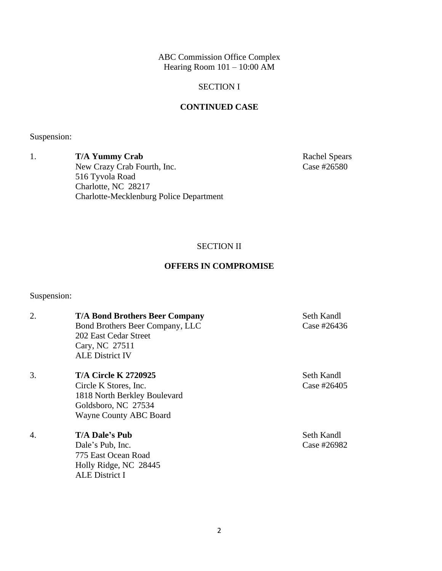ABC Commission Office Complex Hearing Room  $101 - 10:00$  AM

#### SECTION I

#### **CONTINUED CASE**

Suspension:

1. **T/A Yummy Crab** Rachel Spears New Crazy Crab Fourth, Inc. Case #26580 516 Tyvola Road Charlotte, NC 28217 Charlotte-Mecklenburg Police Department

### SECTION II

#### **OFFERS IN COMPROMISE**

Suspension:

| 2. | <b>T/A Bond Brothers Beer Company</b><br>Bond Brothers Beer Company, LLC<br>202 East Cedar Street<br>Cary, NC 27511<br><b>ALE District IV</b> | Seth Kandl<br>Case #26436 |
|----|-----------------------------------------------------------------------------------------------------------------------------------------------|---------------------------|
| 3. | <b>T/A Circle K 2720925</b><br>Circle K Stores, Inc.<br>1818 North Berkley Boulevard<br>Goldsboro, NC 27534<br><b>Wayne County ABC Board</b>  | Seth Kandl<br>Case #26405 |
| 4. | <b>T/A Dale's Pub</b><br>Dale's Pub, Inc.<br>775 East Ocean Road<br>Holly Ridge, NC 28445<br><b>ALE District I</b>                            | Seth Kandl<br>Case #26982 |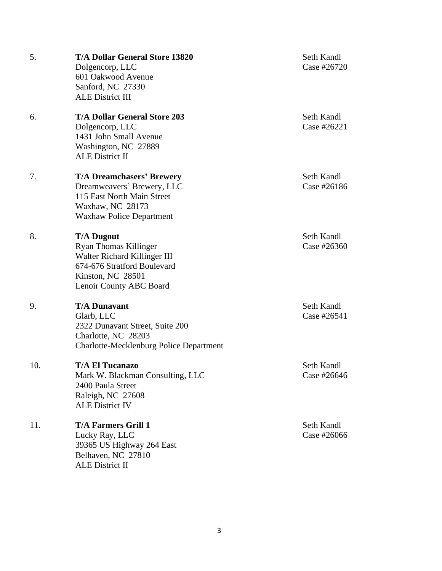| 5.  | <b>T/A Dollar General Store 13820</b><br>Dolgencorp, LLC<br>601 Oakwood Avenue<br>Sanford, NC 27330<br><b>ALE District III</b>                                   |
|-----|------------------------------------------------------------------------------------------------------------------------------------------------------------------|
| 6.  | <b>T/A Dollar General Store 203</b><br>Dolgencorp, LLC<br>1431 John Small Avenue<br>Washington, NC 27889<br><b>ALE District II</b>                               |
| 7.  | <b>T/A Dreamchasers' Brewery</b><br>Dreamweavers' Brewery, LLC<br>115 East North Main Street<br>Waxhaw, NC 28173<br><b>Waxhaw Police Department</b>              |
| 8.  | <b>T/A Dugout</b><br><b>Ryan Thomas Killinger</b><br>Walter Richard Killinger III<br>674-676 Stratford Boulevard<br>Kinston, NC 28501<br>Lenoir County ABC Board |
| 9.  | <b>T/A Dunavant</b><br>Glarb, LLC<br>2322 Dunavant Street, Suite 200<br>Charlotte, NC 28203<br><b>Charlotte-Mecklenburg Police Department</b>                    |
| 10. | <b>T/A El Tucanazo</b><br>Mark W. Blackman Consulting, LLC<br>2400 Paula Street<br>Raleigh, NC 27608<br><b>ALE District IV</b>                                   |
| 11. | <b>T/A Farmers Grill 1</b><br>Lucky Ray, LLC<br>39365 US Highway 264 East<br>Belhaven, NC 27810<br><b>ALE District II</b>                                        |

Seth Kandl Case #26720

Seth Kandl Case #26221

Seth Kandl Case #26186

Seth Kandl Case #26360

**Seth Kandl** Case #26541

Seth Kandl Case #26646

**Seth Kandl** Case #26066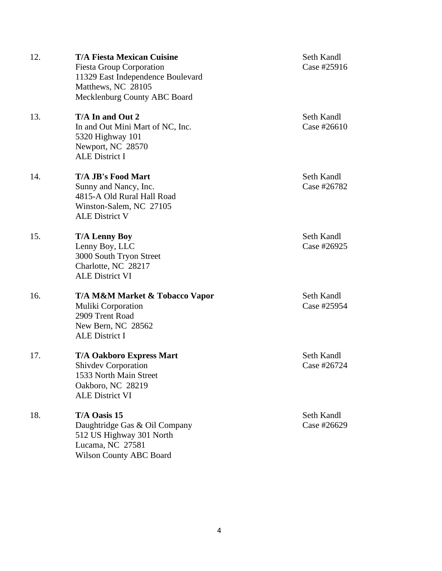12. **T/A Fiesta Mexican Cuisine** Seth Kandl Fiesta Group Corporation Case #25916 11329 East Independence Boulevard Matthews, NC 28105 Mecklenburg County ABC Board 13. **T/A In and Out 2** Seth Kandl In and Out Mini Mart of NC, Inc. Case #26610 5320 Highway 101 Newport, NC 28570 ALE District I 14. **T/A JB's Food Mart** Seth Kandl Sunny and Nancy, Inc. Case #26782 4815-A Old Rural Hall Road Winston-Salem, NC 27105 ALE District V 15. **T/A Lenny Boy** Seth Kandl Lenny Boy, LLC Case #26925 3000 South Tryon Street Charlotte, NC 28217 ALE District VI 16. **T/A M&M Market & Tobacco Vapor** Seth Kandl Muliki Corporation Case #25954 2909 Trent Road New Bern, NC 28562 ALE District I 17. **T/A Oakboro Express Mart** Seth Kandl Shivdev Corporation Case #26724 1533 North Main Street Oakboro, NC 28219 ALE District VI 18. **T/A Oasis 15** Seth Kandl Daughtridge Gas & Oil Company Case #26629 512 US Highway 301 North Lucama, NC 27581

Wilson County ABC Board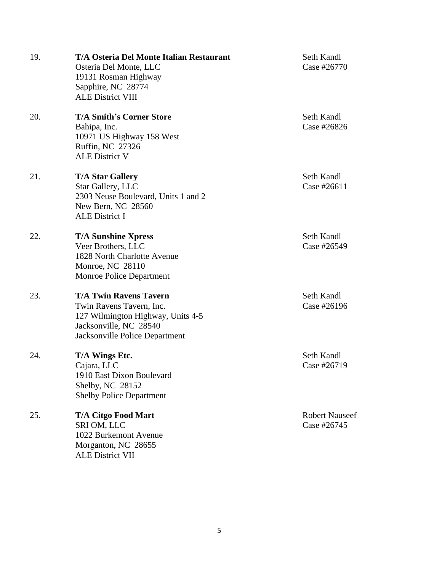| 19. | <b>T/A Osteria Del Monte Italian Restaurant</b><br>Osteria Del Monte, LLC<br>19131 Rosman Highway<br>Sapphire, NC 28774<br><b>ALE District VIII</b>        | Seth Kandl<br>Case #26770            |
|-----|------------------------------------------------------------------------------------------------------------------------------------------------------------|--------------------------------------|
| 20. | <b>T/A Smith's Corner Store</b><br>Bahipa, Inc.<br>10971 US Highway 158 West<br>Ruffin, NC 27326<br><b>ALE District V</b>                                  | Seth Kandl<br>Case #26826            |
| 21. | <b>T/A Star Gallery</b><br>Star Gallery, LLC<br>2303 Neuse Boulevard, Units 1 and 2<br>New Bern, NC 28560<br><b>ALE District I</b>                         | Seth Kandl<br>Case #26611            |
| 22. | <b>T/A Sunshine Xpress</b><br>Veer Brothers, LLC<br>1828 North Charlotte Avenue<br>Monroe, NC 28110<br>Monroe Police Department                            | Seth Kandl<br>Case #26549            |
| 23. | <b>T/A Twin Ravens Tavern</b><br>Twin Ravens Tavern, Inc.<br>127 Wilmington Highway, Units 4-5<br>Jacksonville, NC 28540<br>Jacksonville Police Department | Seth Kandl<br>Case #26196            |
| 24. | T/A Wings Etc.<br>Cajara, LLC<br>1910 East Dixon Boulevard<br>Shelby, NC 28152<br><b>Shelby Police Department</b>                                          | Seth Kandl<br>Case #26719            |
| 25. | <b>T/A Citgo Food Mart</b><br>SRI OM, LLC<br>1022 Burkemont Avenue<br>Morganton, NC 28655<br><b>ALE District VII</b>                                       | <b>Robert Nauseef</b><br>Case #26745 |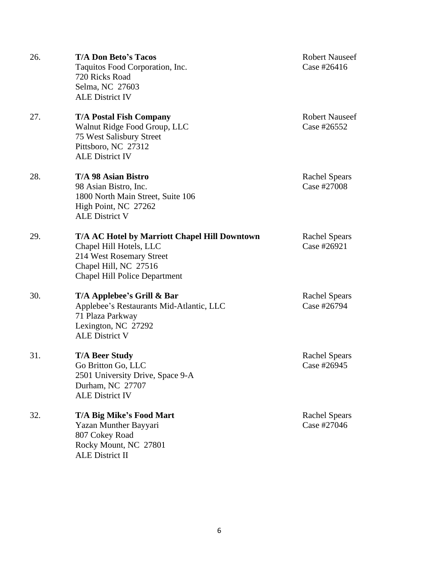| 26. | <b>T/A Don Beto's Tacos</b><br>Taquitos Food Corporation, Inc.<br>720 Ricks Road<br>Selma, NC 27603<br><b>ALE District IV</b>                                                | <b>Robert Nauseef</b><br>Case #26416 |
|-----|------------------------------------------------------------------------------------------------------------------------------------------------------------------------------|--------------------------------------|
| 27. | <b>T/A Postal Fish Company</b><br>Walnut Ridge Food Group, LLC<br>75 West Salisbury Street<br>Pittsboro, NC 27312<br><b>ALE District IV</b>                                  | <b>Robert Nauseef</b><br>Case #26552 |
| 28. | T/A 98 Asian Bistro<br>98 Asian Bistro, Inc.<br>1800 North Main Street, Suite 106<br>High Point, NC 27262<br><b>ALE District V</b>                                           | <b>Rachel Spears</b><br>Case #27008  |
| 29. | <b>T/A AC Hotel by Marriott Chapel Hill Downtown</b><br>Chapel Hill Hotels, LLC<br>214 West Rosemary Street<br>Chapel Hill, NC 27516<br><b>Chapel Hill Police Department</b> | <b>Rachel Spears</b><br>Case #26921  |
| 30. | T/A Applebee's Grill & Bar<br>Applebee's Restaurants Mid-Atlantic, LLC<br>71 Plaza Parkway<br>Lexington, NC 27292<br><b>ALE District V</b>                                   | <b>Rachel Spears</b><br>Case #26794  |
| 31. | <b>T/A Beer Study</b><br>Go Britton Go, LLC<br>2501 University Drive, Space 9-A<br>Durham, NC 27707<br><b>ALE District IV</b>                                                | <b>Rachel Spears</b><br>Case #26945  |
| 32. | T/A Big Mike's Food Mart<br>Yazan Munther Bayyari<br>807 Cokey Road<br>Rocky Mount, NC 27801<br><b>ALE District II</b>                                                       | <b>Rachel Spears</b><br>Case #27046  |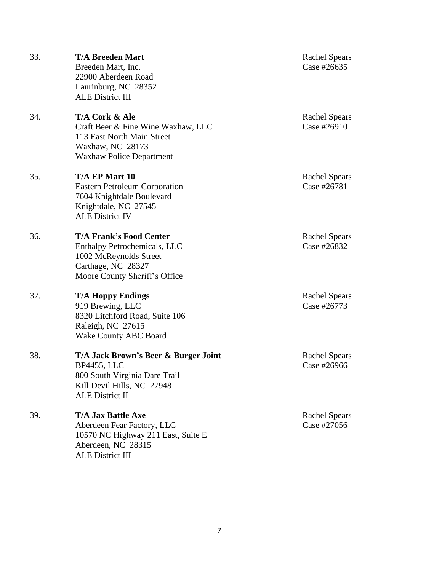| 33. | <b>T/A Breeden Mart</b><br>Breeden Mart, Inc.<br>22900 Aberdeen Road<br>Laurinburg, NC 28352<br><b>ALE District III</b>                             | <b>Rachel Spears</b><br>Case #26635 |
|-----|-----------------------------------------------------------------------------------------------------------------------------------------------------|-------------------------------------|
| 34. | T/A Cork & Ale<br>Craft Beer & Fine Wine Waxhaw, LLC<br>113 East North Main Street<br>Waxhaw, NC 28173<br><b>Waxhaw Police Department</b>           | <b>Rachel Spears</b><br>Case #26910 |
| 35. | T/A EP Mart 10<br><b>Eastern Petroleum Corporation</b><br>7604 Knightdale Boulevard<br>Knightdale, NC 27545<br><b>ALE District IV</b>               | <b>Rachel Spears</b><br>Case #26781 |
| 36. | <b>T/A Frank's Food Center</b><br>Enthalpy Petrochemicals, LLC<br>1002 McReynolds Street<br>Carthage, NC 28327<br>Moore County Sheriff's Office     | <b>Rachel Spears</b><br>Case #26832 |
| 37. | <b>T/A Hoppy Endings</b><br>919 Brewing, LLC<br>8320 Litchford Road, Suite 106<br>Raleigh, NC 27615<br><b>Wake County ABC Board</b>                 | <b>Rachel Spears</b><br>Case #26773 |
| 38. | T/A Jack Brown's Beer & Burger Joint<br><b>BP4455, LLC</b><br>800 South Virginia Dare Trail<br>Kill Devil Hills, NC 27948<br><b>ALE District II</b> | <b>Rachel Spears</b><br>Case #26966 |
| 39. | <b>T/A Jax Battle Axe</b><br>Aberdeen Fear Factory, LLC<br>10570 NC Highway 211 East, Suite E<br>Aberdeen, NC 28315<br><b>ALE District III</b>      | <b>Rachel Spears</b><br>Case #27056 |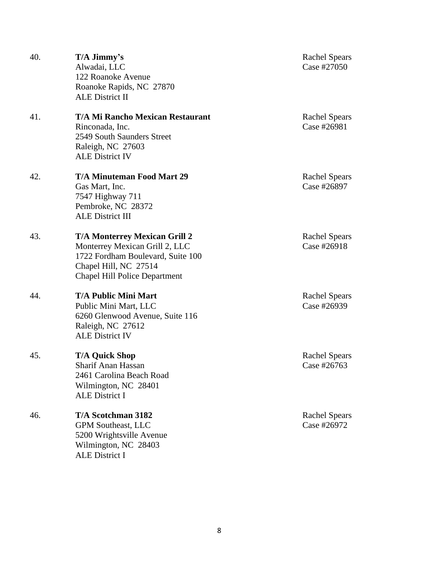| 40. | T/A Jimmy's<br>Alwadai, LLC<br>122 Roanoke Avenue<br>Roanoke Rapids, NC 27870<br><b>ALE District II</b>                                                                      | <b>Rachel Spears</b><br>Case #27050 |
|-----|------------------------------------------------------------------------------------------------------------------------------------------------------------------------------|-------------------------------------|
| 41. | <b>T/A Mi Rancho Mexican Restaurant</b><br>Rinconada, Inc.<br>2549 South Saunders Street<br>Raleigh, NC 27603<br><b>ALE District IV</b>                                      | <b>Rachel Spears</b><br>Case #26981 |
| 42. | <b>T/A Minuteman Food Mart 29</b><br>Gas Mart, Inc.<br>7547 Highway 711<br>Pembroke, NC 28372<br><b>ALE District III</b>                                                     | <b>Rachel Spears</b><br>Case #26897 |
| 43. | <b>T/A Monterrey Mexican Grill 2</b><br>Monterrey Mexican Grill 2, LLC<br>1722 Fordham Boulevard, Suite 100<br>Chapel Hill, NC 27514<br><b>Chapel Hill Police Department</b> | <b>Rachel Spears</b><br>Case #26918 |
| 44. | <b>T/A Public Mini Mart</b><br>Public Mini Mart, LLC<br>6260 Glenwood Avenue, Suite 116<br>Raleigh, NC 27612<br><b>ALE District IV</b>                                       | <b>Rachel Spears</b><br>Case #26939 |
| 45. | <b>T/A Quick Shop</b><br>Sharif Anan Hassan<br>2461 Carolina Beach Road<br>Wilmington, NC 28401<br><b>ALE District I</b>                                                     | <b>Rachel Spears</b><br>Case #26763 |
| 46. | T/A Scotchman 3182<br><b>GPM Southeast, LLC</b><br>5200 Wrightsville Avenue<br>Wilmington, NC 28403<br><b>ALE District I</b>                                                 | <b>Rachel Spears</b><br>Case #26972 |

8